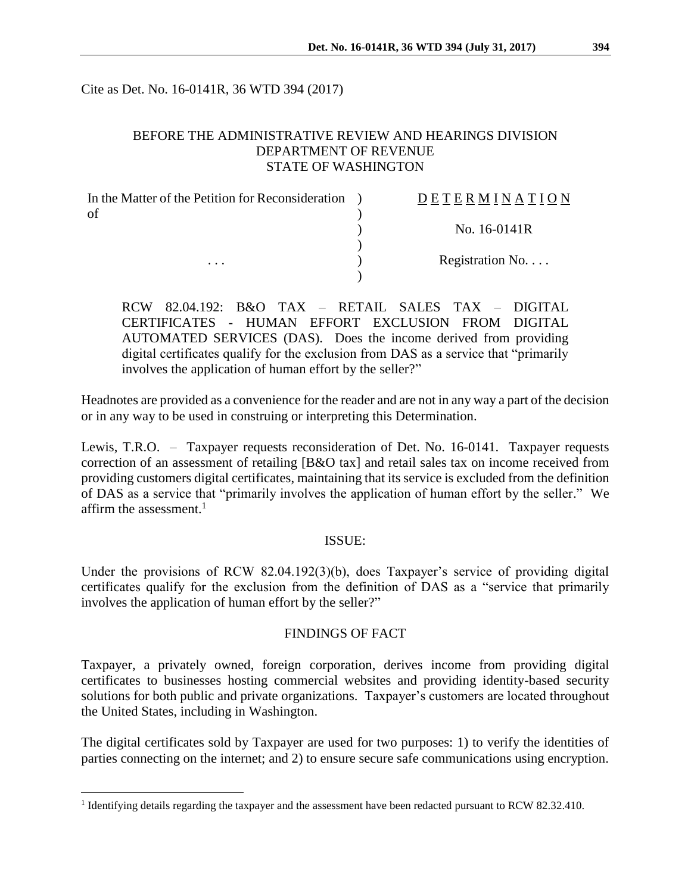Cite as Det. No. 16-0141R, 36 WTD 394 (2017)

# BEFORE THE ADMINISTRATIVE REVIEW AND HEARINGS DIVISION DEPARTMENT OF REVENUE STATE OF WASHINGTON

| In the Matter of the Petition for Reconsideration | DETERMINATION            |
|---------------------------------------------------|--------------------------|
| of<br>.                                           |                          |
|                                                   | No. 16-0141R             |
|                                                   |                          |
|                                                   | Registration No. $\dots$ |
|                                                   |                          |

RCW 82.04.192: B&O TAX – RETAIL SALES TAX – DIGITAL CERTIFICATES - HUMAN EFFORT EXCLUSION FROM DIGITAL AUTOMATED SERVICES (DAS). Does the income derived from providing digital certificates qualify for the exclusion from DAS as a service that "primarily involves the application of human effort by the seller?"

Headnotes are provided as a convenience for the reader and are not in any way a part of the decision or in any way to be used in construing or interpreting this Determination.

Lewis, T.R.O. – Taxpayer requests reconsideration of Det. No. 16-0141. Taxpayer requests correction of an assessment of retailing [B&O tax] and retail sales tax on income received from providing customers digital certificates, maintaining that its service is excluded from the definition of DAS as a service that "primarily involves the application of human effort by the seller." We affirm the assessment.<sup>1</sup>

## ISSUE:

Under the provisions of RCW 82.04.192(3)(b), does Taxpayer's service of providing digital certificates qualify for the exclusion from the definition of DAS as a "service that primarily involves the application of human effort by the seller?"

## FINDINGS OF FACT

Taxpayer, a privately owned, foreign corporation, derives income from providing digital certificates to businesses hosting commercial websites and providing identity-based security solutions for both public and private organizations. Taxpayer's customers are located throughout the United States, including in Washington.

The digital certificates sold by Taxpayer are used for two purposes: 1) to verify the identities of parties connecting on the internet; and 2) to ensure secure safe communications using encryption.

 $\overline{a}$ 

<sup>&</sup>lt;sup>1</sup> Identifying details regarding the taxpayer and the assessment have been redacted pursuant to RCW 82.32.410.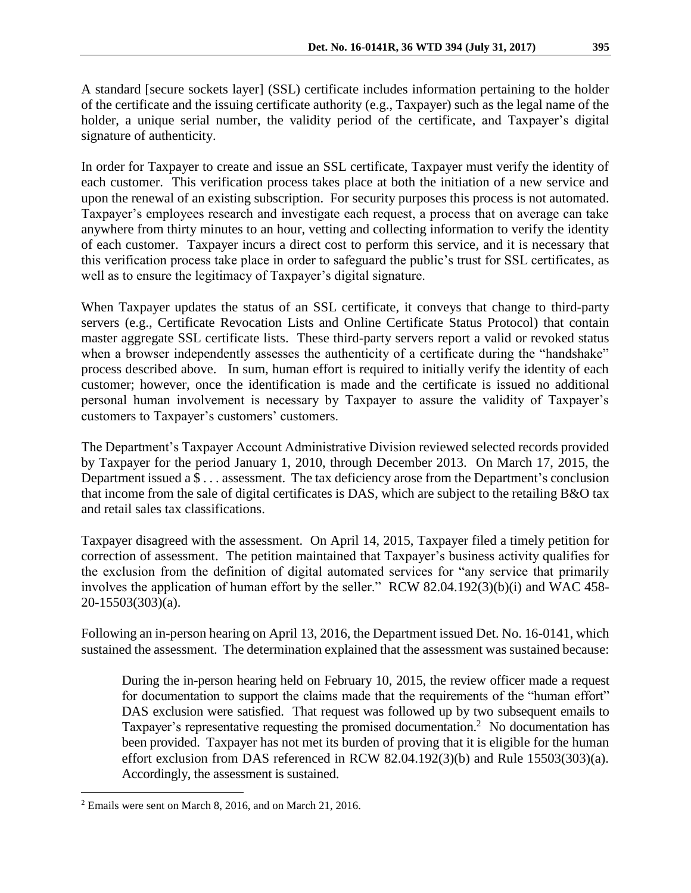A standard [secure sockets layer] (SSL) certificate includes information pertaining to the holder of the certificate and the issuing certificate authority (e.g., Taxpayer) such as the legal name of the holder, a unique serial number, the validity period of the certificate, and Taxpayer's digital signature of authenticity.

In order for Taxpayer to create and issue an SSL certificate, Taxpayer must verify the identity of each customer. This verification process takes place at both the initiation of a new service and upon the renewal of an existing subscription. For security purposes this process is not automated. Taxpayer's employees research and investigate each request, a process that on average can take anywhere from thirty minutes to an hour, vetting and collecting information to verify the identity of each customer. Taxpayer incurs a direct cost to perform this service, and it is necessary that this verification process take place in order to safeguard the public's trust for SSL certificates, as well as to ensure the legitimacy of Taxpayer's digital signature.

When Taxpayer updates the status of an SSL certificate, it conveys that change to third-party servers (e.g., Certificate Revocation Lists and Online Certificate Status Protocol) that contain master aggregate SSL certificate lists. These third-party servers report a valid or revoked status when a browser independently assesses the authenticity of a certificate during the "handshake" process described above. In sum, human effort is required to initially verify the identity of each customer; however, once the identification is made and the certificate is issued no additional personal human involvement is necessary by Taxpayer to assure the validity of Taxpayer's customers to Taxpayer's customers' customers.

The Department's Taxpayer Account Administrative Division reviewed selected records provided by Taxpayer for the period January 1, 2010, through December 2013. On March 17, 2015, the Department issued a \$ . . . assessment. The tax deficiency arose from the Department's conclusion that income from the sale of digital certificates is DAS, which are subject to the retailing B&O tax and retail sales tax classifications.

Taxpayer disagreed with the assessment. On April 14, 2015, Taxpayer filed a timely petition for correction of assessment. The petition maintained that Taxpayer's business activity qualifies for the exclusion from the definition of digital automated services for "any service that primarily involves the application of human effort by the seller." RCW 82.04.192(3)(b)(i) and WAC 458- 20-15503(303)(a).

Following an in-person hearing on April 13, 2016, the Department issued Det. No. 16-0141, which sustained the assessment. The determination explained that the assessment was sustained because:

During the in-person hearing held on February 10, 2015, the review officer made a request for documentation to support the claims made that the requirements of the "human effort" DAS exclusion were satisfied. That request was followed up by two subsequent emails to Taxpayer's representative requesting the promised documentation.<sup>2</sup> No documentation has been provided. Taxpayer has not met its burden of proving that it is eligible for the human effort exclusion from DAS referenced in RCW 82.04.192(3)(b) and Rule 15503(303)(a). Accordingly, the assessment is sustained.

 $\overline{a}$ 

<sup>2</sup> Emails were sent on March 8, 2016, and on March 21, 2016.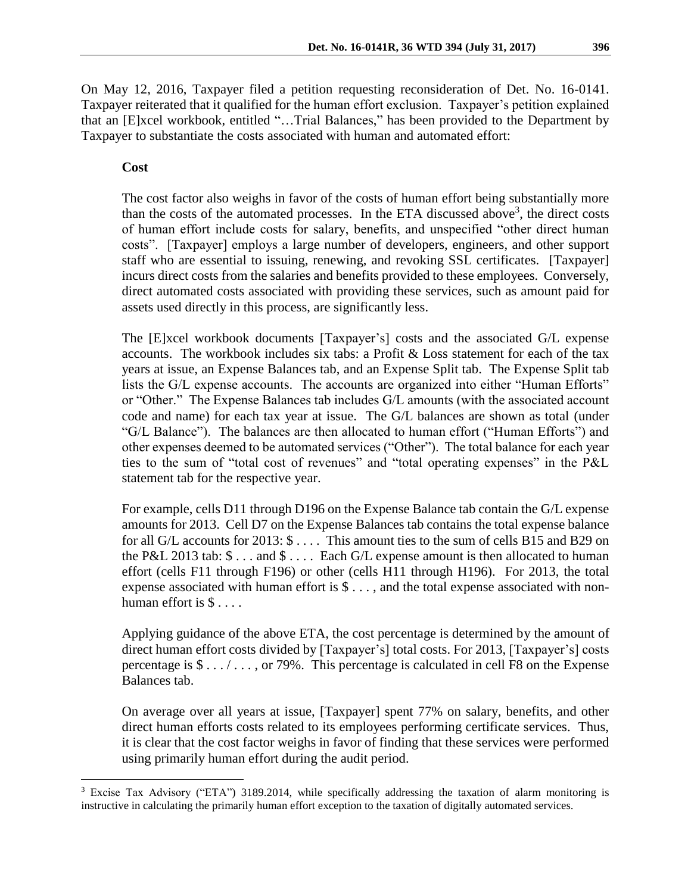On May 12, 2016, Taxpayer filed a petition requesting reconsideration of Det. No. 16-0141. Taxpayer reiterated that it qualified for the human effort exclusion. Taxpayer's petition explained that an [E]xcel workbook, entitled "…Trial Balances," has been provided to the Department by Taxpayer to substantiate the costs associated with human and automated effort:

#### **Cost**

 $\overline{a}$ 

The cost factor also weighs in favor of the costs of human effort being substantially more than the costs of the automated processes. In the ETA discussed above<sup>3</sup>, the direct costs of human effort include costs for salary, benefits, and unspecified "other direct human costs". [Taxpayer] employs a large number of developers, engineers, and other support staff who are essential to issuing, renewing, and revoking SSL certificates. [Taxpayer] incurs direct costs from the salaries and benefits provided to these employees. Conversely, direct automated costs associated with providing these services, such as amount paid for assets used directly in this process, are significantly less.

The [E]xcel workbook documents [Taxpayer's] costs and the associated G/L expense accounts. The workbook includes six tabs: a Profit & Loss statement for each of the tax years at issue, an Expense Balances tab, and an Expense Split tab. The Expense Split tab lists the G/L expense accounts. The accounts are organized into either "Human Efforts" or "Other." The Expense Balances tab includes G/L amounts (with the associated account code and name) for each tax year at issue. The G/L balances are shown as total (under "G/L Balance"). The balances are then allocated to human effort ("Human Efforts") and other expenses deemed to be automated services ("Other"). The total balance for each year ties to the sum of "total cost of revenues" and "total operating expenses" in the P&L statement tab for the respective year.

For example, cells D11 through D196 on the Expense Balance tab contain the G/L expense amounts for 2013. Cell D7 on the Expense Balances tab contains the total expense balance for all G/L accounts for 2013:  $\$\dots$  This amount ties to the sum of cells B15 and B29 on the P&L 2013 tab:  $\frac{6}{3}$ ... and  $\frac{6}{1}$ ... Each G/L expense amount is then allocated to human effort (cells F11 through F196) or other (cells H11 through H196). For 2013, the total expense associated with human effort is \$ . . . , and the total expense associated with nonhuman effort is  $\$\ldots$ .

Applying guidance of the above ETA, the cost percentage is determined by the amount of direct human effort costs divided by [Taxpayer's] total costs. For 2013, [Taxpayer's] costs percentage is  $\frac{1}{2}$ ...., or 79%. This percentage is calculated in cell F8 on the Expense Balances tab.

On average over all years at issue, [Taxpayer] spent 77% on salary, benefits, and other direct human efforts costs related to its employees performing certificate services. Thus, it is clear that the cost factor weighs in favor of finding that these services were performed using primarily human effort during the audit period.

<sup>&</sup>lt;sup>3</sup> Excise Tax Advisory ("ETA") 3189.2014, while specifically addressing the taxation of alarm monitoring is instructive in calculating the primarily human effort exception to the taxation of digitally automated services.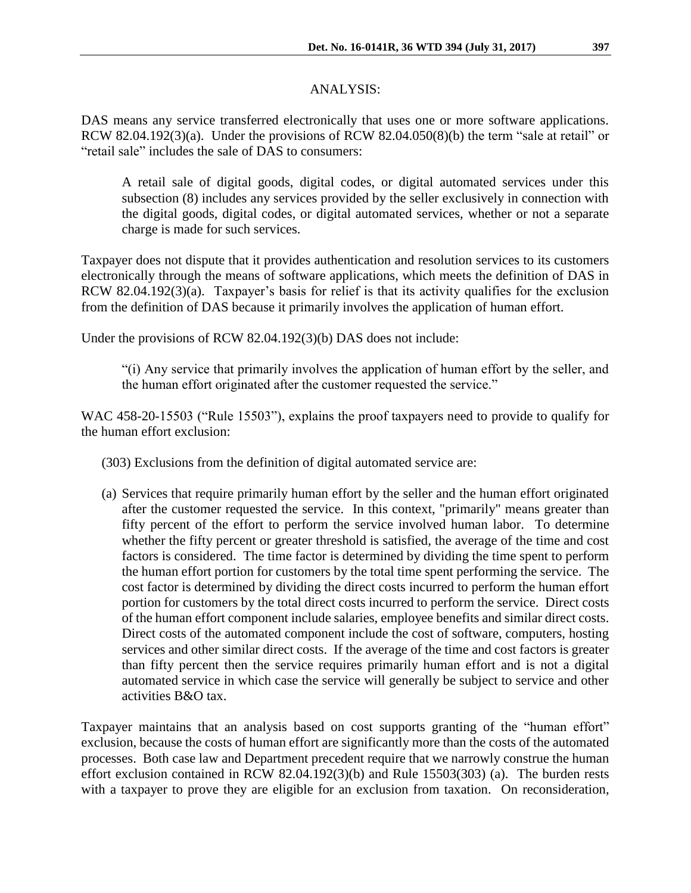## ANALYSIS:

DAS means any service transferred electronically that uses one or more software applications. RCW 82.04.192(3)(a). Under the provisions of RCW 82.04.050(8)(b) the term "sale at retail" or "retail sale" includes the sale of DAS to consumers:

A retail sale of digital goods, digital codes, or digital automated services under this subsection (8) includes any services provided by the seller exclusively in connection with the digital goods, digital codes, or digital automated services, whether or not a separate charge is made for such services.

Taxpayer does not dispute that it provides authentication and resolution services to its customers electronically through the means of software applications, which meets the definition of DAS in RCW 82.04.192(3)(a). Taxpayer's basis for relief is that its activity qualifies for the exclusion from the definition of DAS because it primarily involves the application of human effort.

Under the provisions of RCW 82.04.192(3)(b) DAS does not include:

"(i) Any service that primarily involves the application of human effort by the seller, and the human effort originated after the customer requested the service."

WAC 458-20-15503 ("Rule 15503"), explains the proof taxpayers need to provide to qualify for the human effort exclusion:

(303) Exclusions from the definition of digital automated service are:

(a) Services that require primarily human effort by the seller and the human effort originated after the customer requested the service. In this context, "primarily" means greater than fifty percent of the effort to perform the service involved human labor. To determine whether the fifty percent or greater threshold is satisfied, the average of the time and cost factors is considered. The time factor is determined by dividing the time spent to perform the human effort portion for customers by the total time spent performing the service. The cost factor is determined by dividing the direct costs incurred to perform the human effort portion for customers by the total direct costs incurred to perform the service. Direct costs of the human effort component include salaries, employee benefits and similar direct costs. Direct costs of the automated component include the cost of software, computers, hosting services and other similar direct costs. If the average of the time and cost factors is greater than fifty percent then the service requires primarily human effort and is not a digital automated service in which case the service will generally be subject to service and other activities B&O tax.

Taxpayer maintains that an analysis based on cost supports granting of the "human effort" exclusion, because the costs of human effort are significantly more than the costs of the automated processes. Both case law and Department precedent require that we narrowly construe the human effort exclusion contained in RCW 82.04.192(3)(b) and Rule 15503(303) (a). The burden rests with a taxpayer to prove they are eligible for an exclusion from taxation. On reconsideration,